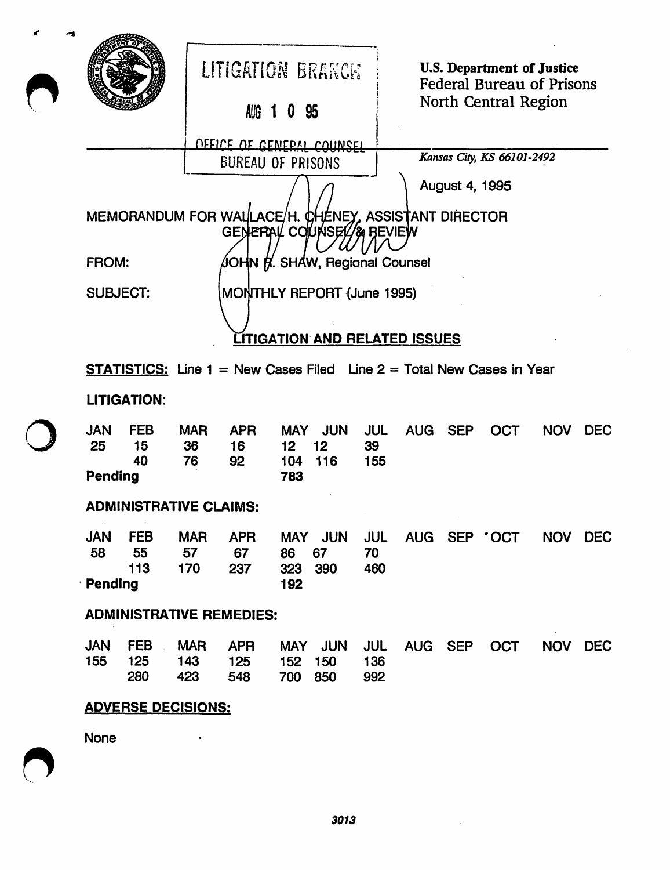

## ADMINISTRATIVE REMEDIES:

|  | JAN FEB MAR APR MAY JUN JUL AUG SEP OCT NOV DEC |  |  |  |  |  |
|--|-------------------------------------------------|--|--|--|--|--|
|  | 155 125 143 125 152 150 136                     |  |  |  |  |  |
|  | 280 423 548 700 850 992                         |  |  |  |  |  |

### ADVERSE DECISIONS:

None

 $\bigcap$ 

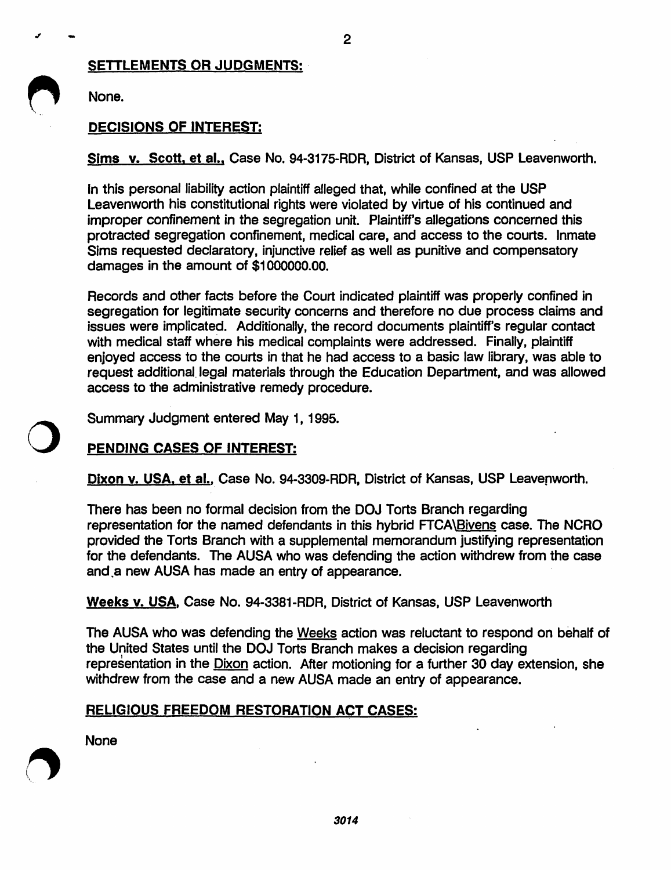## SETTLEMENTS OR JUDGMENTS: .

None.

## DECISIONS OF INTEREST:

Sims v. Scott, et al., Case No. 94-3175-RDR, District of Kansas, USP Leavenworth.

In this personal liability action plaintiff alleged that, while confined at the USP Leavenworth his constitutional rights were violated by virtue of his continued and improper confinement in the segregation unit. Plaintiff's allegations concerned this protracted segregation confinement, medical care, and access to the courts. Inmate Sims requested declaratory. injunctive relief as well as punitive and compensatory damages in the amount of \$1000000.00.

Records and other facts before the Court indicated plaintiff was properly confined in segregation for legitimate security concerns and therefore no due process claims and issues were implicated. Additionally, the record documents plaintiff's regular contact with medical staff where his medical complaints were addressed. Finally. plaintiff enjoyed access to the courts in that he had access to a basic law library, was able to request additional. legal materials through the Education Department, and was allowed access to the administrative remedy procedure.

Summary Judgment entered May 1, 1995.

# PENDING CASES OF INTEREST:

Dixon v. USA, et al., Case No. 94-3309-RDR, District of Kansas, USP Leavenworth.

There has been no formal decision from the DOJ Torts Branch regarding representation for the named defendants in this hybrid FTCA\Bivens case. The NCRO provided the Torts Branch with a supplemental memorandum justifying representation for the defendants. The AUSA who was defending the action withdrew from the case and,a new AUSA has made an entry of appearance.

Weeks v. USA, Case No. 94-3381-RDR. District of Kansas, USP Leavenworth

The AUSA who was defending the Weeks action was reluctant to respond on behalf of the United States until the DOJ Torts Branch makes a decision regarding representation in the Dixon action. After motioning for a further 30 day extension, she withdrew from the case and a new AUSA made an entry of appearance.

## RELIGIOUS FREEDOM RESTORATION ACT CASES:

None

o